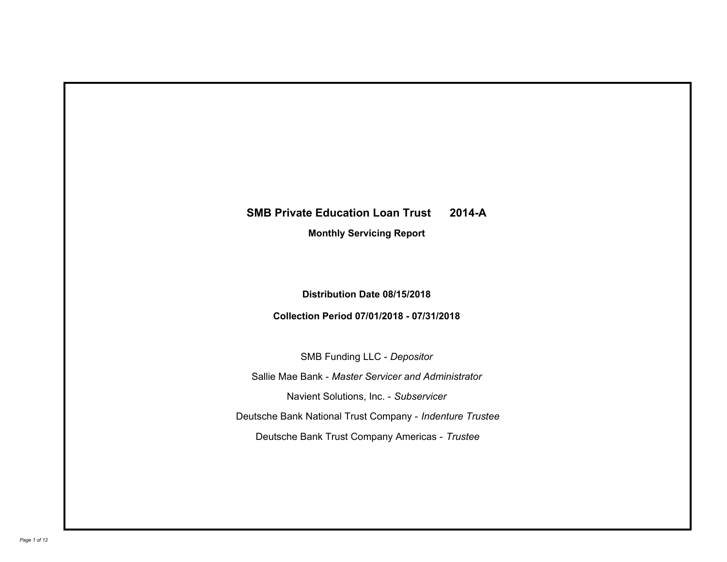# **SMB Private Education Loan Trust 2014-A**

**Monthly Servicing Report**

**Distribution Date 08/15/2018**

**Collection Period 07/01/2018 - 07/31/2018**

SMB Funding LLC - *Depositor* Sallie Mae Bank - *Master Servicer and Administrator* Deutsche Bank National Trust Company - *Indenture Trustee* Deutsche Bank Trust Company Americas - *Trustee* Navient Solutions, Inc. - *Subservicer*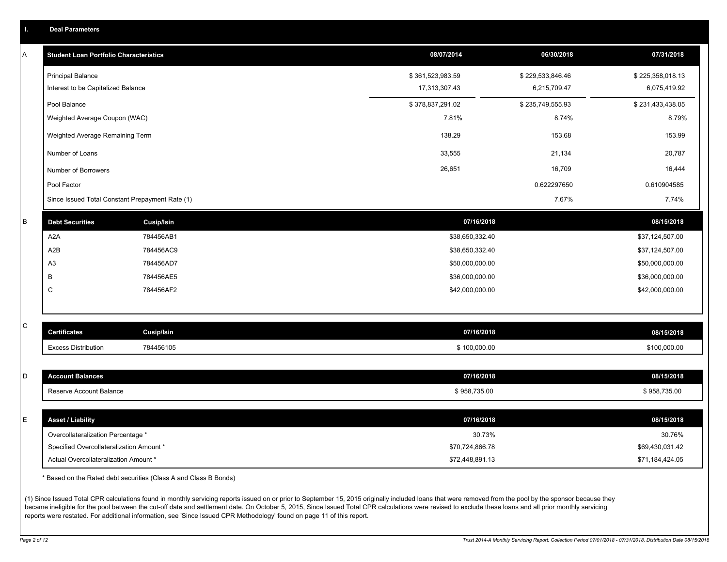| Т. | <b>Deal Parameters</b>                          |                                                                  |                  |                  |                  |
|----|-------------------------------------------------|------------------------------------------------------------------|------------------|------------------|------------------|
| Α  | <b>Student Loan Portfolio Characteristics</b>   |                                                                  | 08/07/2014       | 06/30/2018       | 07/31/2018       |
|    | <b>Principal Balance</b>                        |                                                                  | \$361,523,983.59 | \$229,533,846.46 | \$225,358,018.13 |
|    | Interest to be Capitalized Balance              |                                                                  | 17,313,307.43    | 6,215,709.47     | 6,075,419.92     |
|    | Pool Balance                                    |                                                                  | \$378,837,291.02 | \$235,749,555.93 | \$231,433,438.05 |
|    | Weighted Average Coupon (WAC)                   |                                                                  | 7.81%            | 8.74%            | 8.79%            |
|    | Weighted Average Remaining Term                 |                                                                  | 138.29           | 153.68           | 153.99           |
|    | Number of Loans                                 |                                                                  | 33,555           | 21,134           | 20,787           |
|    | Number of Borrowers                             |                                                                  | 26,651           | 16,709           | 16,444           |
|    | Pool Factor                                     |                                                                  |                  | 0.622297650      | 0.610904585      |
|    | Since Issued Total Constant Prepayment Rate (1) |                                                                  |                  | 7.67%            | 7.74%            |
| B  | <b>Debt Securities</b>                          | <b>Cusip/Isin</b>                                                | 07/16/2018       |                  | 08/15/2018       |
|    | A <sub>2</sub> A                                | 784456AB1                                                        | \$38,650,332.40  |                  | \$37,124,507.00  |
|    | A <sub>2</sub> B                                | 784456AC9                                                        | \$38,650,332.40  |                  | \$37,124,507.00  |
|    | A3                                              | 784456AD7                                                        | \$50,000,000.00  |                  | \$50,000,000.00  |
|    | B                                               | 784456AE5                                                        | \$36,000,000.00  |                  | \$36,000,000.00  |
|    | $\mathbf C$                                     | 784456AF2                                                        | \$42,000,000.00  |                  | \$42,000,000.00  |
|    |                                                 |                                                                  |                  |                  |                  |
| С  | <b>Certificates</b>                             | <b>Cusip/Isin</b>                                                | 07/16/2018       |                  | 08/15/2018       |
|    | <b>Excess Distribution</b>                      | 784456105                                                        | \$100,000.00     |                  | \$100,000.00     |
|    |                                                 |                                                                  |                  |                  |                  |
| D  | <b>Account Balances</b>                         |                                                                  | 07/16/2018       |                  | 08/15/2018       |
|    | Reserve Account Balance                         |                                                                  | \$958,735.00     |                  | \$958,735.00     |
|    |                                                 |                                                                  |                  |                  |                  |
| E  | <b>Asset / Liability</b>                        |                                                                  | 07/16/2018       |                  | 08/15/2018       |
|    | Overcollateralization Percentage *              |                                                                  | 30.73%           |                  | 30.76%           |
|    | Specified Overcollateralization Amount *        |                                                                  | \$70,724,866.78  |                  | \$69,430,031.42  |
|    | Actual Overcollateralization Amount *           |                                                                  | \$72,448,891.13  |                  | \$71,184,424.05  |
|    |                                                 | * Based on the Rated debt securities (Class A and Class B Bonds) |                  |                  |                  |

(1) Since Issued Total CPR calculations found in monthly servicing reports issued on or prior to September 15, 2015 originally included loans that were removed from the pool by the sponsor because they became ineligible for the pool between the cut-off date and settlement date. On October 5, 2015, Since Issued Total CPR calculations were revised to exclude these loans and all prior monthly servicing reports were restated. For additional information, see 'Since Issued CPR Methodology' found on page 11 of this report.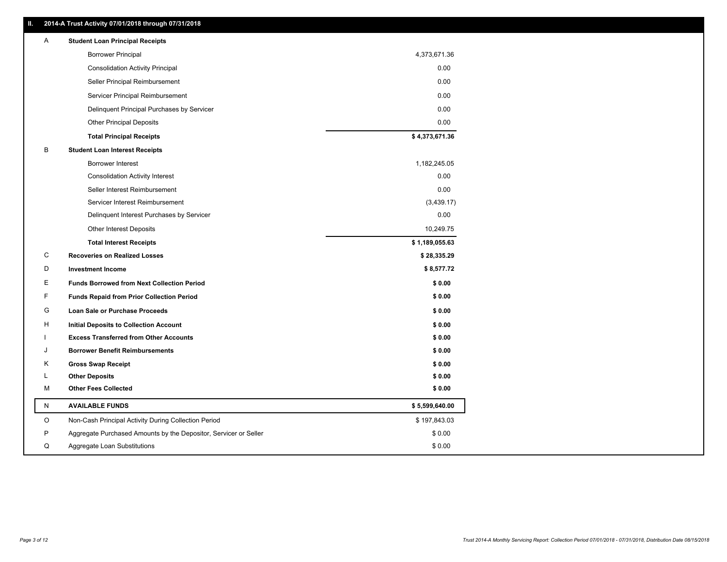| Ш. |         | 2014-A Trust Activity 07/01/2018 through 07/31/2018              |                |
|----|---------|------------------------------------------------------------------|----------------|
|    | Α       | <b>Student Loan Principal Receipts</b>                           |                |
|    |         | <b>Borrower Principal</b>                                        | 4,373,671.36   |
|    |         | <b>Consolidation Activity Principal</b>                          | 0.00           |
|    |         | Seller Principal Reimbursement                                   | 0.00           |
|    |         | Servicer Principal Reimbursement                                 | 0.00           |
|    |         | Delinquent Principal Purchases by Servicer                       | 0.00           |
|    |         | <b>Other Principal Deposits</b>                                  | 0.00           |
|    |         | <b>Total Principal Receipts</b>                                  | \$4,373,671.36 |
| В  |         | <b>Student Loan Interest Receipts</b>                            |                |
|    |         | <b>Borrower Interest</b>                                         | 1,182,245.05   |
|    |         | <b>Consolidation Activity Interest</b>                           | 0.00           |
|    |         | Seller Interest Reimbursement                                    | 0.00           |
|    |         | Servicer Interest Reimbursement                                  | (3,439.17)     |
|    |         | Delinquent Interest Purchases by Servicer                        | 0.00           |
|    |         | <b>Other Interest Deposits</b>                                   | 10,249.75      |
|    |         | <b>Total Interest Receipts</b>                                   | \$1,189,055.63 |
|    | C       | <b>Recoveries on Realized Losses</b>                             | \$28,335.29    |
|    | D       | <b>Investment Income</b>                                         | \$8,577.72     |
|    | Ε       | <b>Funds Borrowed from Next Collection Period</b>                | \$0.00         |
|    | F       | <b>Funds Repaid from Prior Collection Period</b>                 | \$0.00         |
|    | G       | Loan Sale or Purchase Proceeds                                   | \$0.00         |
|    | н       | Initial Deposits to Collection Account                           | \$0.00         |
|    |         | <b>Excess Transferred from Other Accounts</b>                    | \$0.00         |
|    | J       | <b>Borrower Benefit Reimbursements</b>                           | \$0.00         |
|    | Κ       | <b>Gross Swap Receipt</b>                                        | \$0.00         |
| L  |         | <b>Other Deposits</b>                                            | \$0.00         |
|    | M       | <b>Other Fees Collected</b>                                      | \$0.00         |
|    | N       | <b>AVAILABLE FUNDS</b>                                           | \$5,599,640.00 |
|    | $\circ$ | Non-Cash Principal Activity During Collection Period             | \$197,843.03   |
|    | P       | Aggregate Purchased Amounts by the Depositor, Servicer or Seller | \$0.00         |
|    | Q       | Aggregate Loan Substitutions                                     | \$0.00         |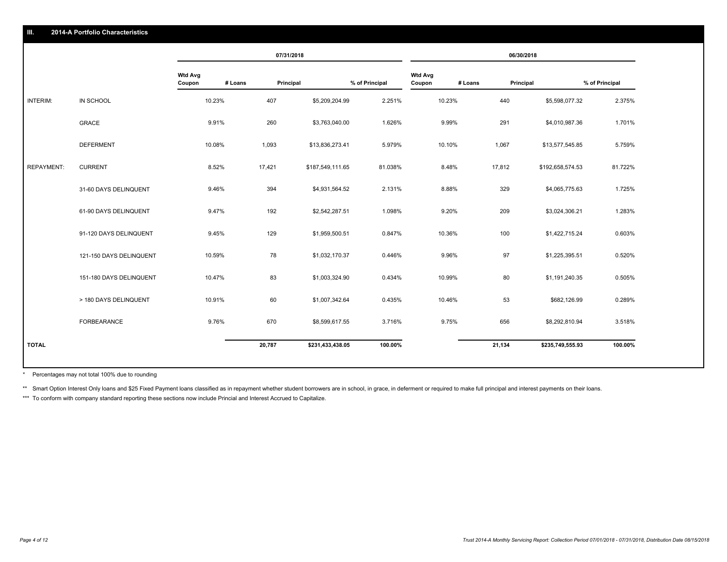|                   |                         |                          |         | 07/31/2018       |                |                          |         |           | 06/30/2018       |                |
|-------------------|-------------------------|--------------------------|---------|------------------|----------------|--------------------------|---------|-----------|------------------|----------------|
|                   |                         | <b>Wtd Avg</b><br>Coupon | # Loans | Principal        | % of Principal | <b>Wtd Avg</b><br>Coupon | # Loans | Principal |                  | % of Principal |
| INTERIM:          | IN SCHOOL               | 10.23%                   | 407     | \$5,209,204.99   | 2.251%         | 10.23%                   |         | 440       | \$5,598,077.32   | 2.375%         |
|                   | GRACE                   | 9.91%                    | 260     | \$3,763,040.00   | 1.626%         |                          | 9.99%   | 291       | \$4,010,987.36   | 1.701%         |
|                   | <b>DEFERMENT</b>        | 10.08%                   | 1,093   | \$13,836,273.41  | 5.979%         |                          | 10.10%  | 1,067     | \$13,577,545.85  | 5.759%         |
| <b>REPAYMENT:</b> | <b>CURRENT</b>          | 8.52%                    | 17,421  | \$187,549,111.65 | 81.038%        |                          | 8.48%   | 17,812    | \$192,658,574.53 | 81.722%        |
|                   | 31-60 DAYS DELINQUENT   | 9.46%                    | 394     | \$4,931,564.52   | 2.131%         |                          | 8.88%   | 329       | \$4,065,775.63   | 1.725%         |
|                   | 61-90 DAYS DELINQUENT   | 9.47%                    | 192     | \$2,542,287.51   | 1.098%         |                          | 9.20%   | 209       | \$3,024,306.21   | 1.283%         |
|                   | 91-120 DAYS DELINQUENT  | 9.45%                    | 129     | \$1,959,500.51   | 0.847%         |                          | 10.36%  | 100       | \$1,422,715.24   | 0.603%         |
|                   | 121-150 DAYS DELINQUENT | 10.59%                   | 78      | \$1,032,170.37   | 0.446%         |                          | 9.96%   | 97        | \$1,225,395.51   | 0.520%         |
|                   | 151-180 DAYS DELINQUENT | 10.47%                   | 83      | \$1,003,324.90   | 0.434%         | 10.99%                   |         | 80        | \$1,191,240.35   | 0.505%         |
|                   | > 180 DAYS DELINQUENT   | 10.91%                   | 60      | \$1,007,342.64   | 0.435%         |                          | 10.46%  | 53        | \$682,126.99     | 0.289%         |
|                   | <b>FORBEARANCE</b>      | 9.76%                    | 670     | \$8,599,617.55   | 3.716%         |                          | 9.75%   | 656       | \$8,292,810.94   | 3.518%         |
| <b>TOTAL</b>      |                         |                          | 20,787  | \$231,433,438.05 | 100.00%        |                          |         | 21,134    | \$235,749,555.93 | 100.00%        |

Percentages may not total 100% due to rounding \*

\*\* Smart Option Interest Only loans and \$25 Fixed Payment loans classified as in repayment whether student borrowers are in school, in grace, in deferment or required to make full principal and interest payments on their l

\*\*\* To conform with company standard reporting these sections now include Princial and Interest Accrued to Capitalize.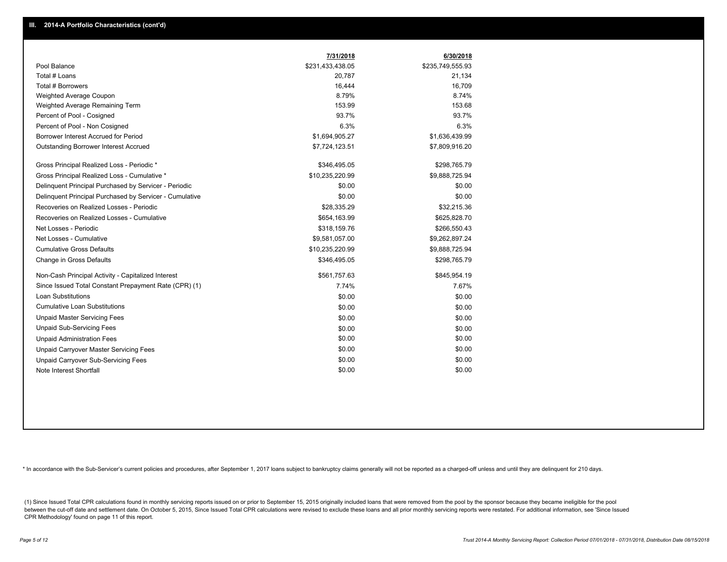|                                                         | 7/31/2018        | 6/30/2018        |
|---------------------------------------------------------|------------------|------------------|
| Pool Balance                                            | \$231,433,438.05 | \$235,749,555.93 |
| Total # Loans                                           | 20,787           | 21,134           |
| Total # Borrowers                                       | 16,444           | 16,709           |
| Weighted Average Coupon                                 | 8.79%            | 8.74%            |
| Weighted Average Remaining Term                         | 153.99           | 153.68           |
| Percent of Pool - Cosigned                              | 93.7%            | 93.7%            |
| Percent of Pool - Non Cosigned                          | 6.3%             | 6.3%             |
| Borrower Interest Accrued for Period                    | \$1,694,905.27   | \$1,636,439.99   |
| Outstanding Borrower Interest Accrued                   | \$7,724,123.51   | \$7,809,916.20   |
| Gross Principal Realized Loss - Periodic *              | \$346,495.05     | \$298,765.79     |
| Gross Principal Realized Loss - Cumulative *            | \$10,235,220.99  | \$9,888,725.94   |
| Delinguent Principal Purchased by Servicer - Periodic   | \$0.00           | \$0.00           |
| Delinquent Principal Purchased by Servicer - Cumulative | \$0.00           | \$0.00           |
| Recoveries on Realized Losses - Periodic                | \$28,335.29      | \$32,215.36      |
| Recoveries on Realized Losses - Cumulative              | \$654,163.99     | \$625,828.70     |
| Net Losses - Periodic                                   | \$318,159.76     | \$266,550.43     |
| Net Losses - Cumulative                                 | \$9,581,057.00   | \$9,262,897.24   |
| <b>Cumulative Gross Defaults</b>                        | \$10,235,220.99  | \$9,888,725.94   |
| Change in Gross Defaults                                | \$346,495.05     | \$298,765.79     |
| Non-Cash Principal Activity - Capitalized Interest      | \$561,757.63     | \$845,954.19     |
| Since Issued Total Constant Prepayment Rate (CPR) (1)   | 7.74%            | 7.67%            |
| Loan Substitutions                                      | \$0.00           | \$0.00           |
| <b>Cumulative Loan Substitutions</b>                    | \$0.00           | \$0.00           |
| <b>Unpaid Master Servicing Fees</b>                     | \$0.00           | \$0.00           |
| <b>Unpaid Sub-Servicing Fees</b>                        | \$0.00           | \$0.00           |
| <b>Unpaid Administration Fees</b>                       | \$0.00           | \$0.00           |
| Unpaid Carryover Master Servicing Fees                  | \$0.00           | \$0.00           |
| Unpaid Carryover Sub-Servicing Fees                     | \$0.00           | \$0.00           |
| Note Interest Shortfall                                 | \$0.00           | \$0.00           |

\* In accordance with the Sub-Servicer's current policies and procedures, after September 1, 2017 loans subject to bankruptcy claims generally will not be reported as a charged-off unless and until they are delinquent for 2

(1) Since Issued Total CPR calculations found in monthly servicing reports issued on or prior to September 15, 2015 originally included loans that were removed from the pool by the sponsor because they became ineligible fo between the cut-off date and settlement date. On October 5, 2015, Since Issued Total CPR calculations were revised to exclude these loans and all prior monthly servicing reports were restated. For additional information, s CPR Methodology' found on page 11 of this report.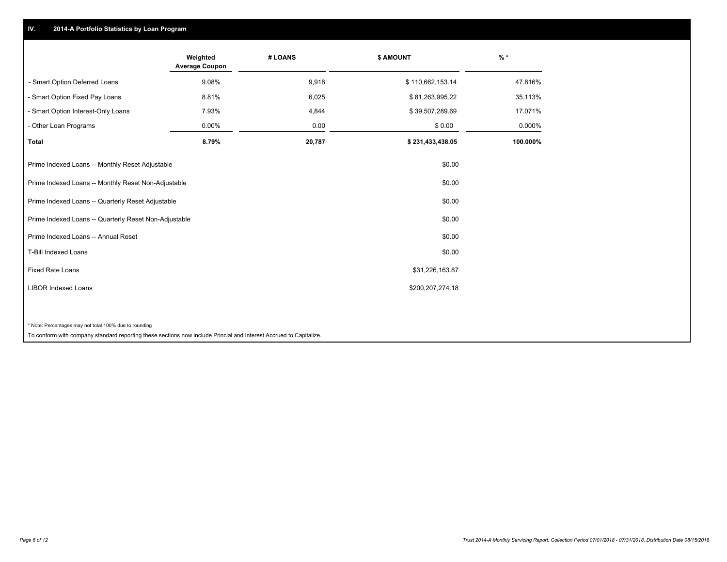# **IV. 2014-A Portfolio Statistics by Loan Program**

|                                                                                                                    | Weighted<br><b>Average Coupon</b> | # LOANS | \$ AMOUNT        | $%$ *    |
|--------------------------------------------------------------------------------------------------------------------|-----------------------------------|---------|------------------|----------|
| - Smart Option Deferred Loans                                                                                      | 9.08%                             | 9,918   | \$110,662,153.14 | 47.816%  |
| - Smart Option Fixed Pay Loans                                                                                     | 8.81%                             | 6,025   | \$81,263,995.22  | 35.113%  |
| - Smart Option Interest-Only Loans                                                                                 | 7.93%                             | 4,844   | \$39,507,289.69  | 17.071%  |
| - Other Loan Programs                                                                                              | 0.00%                             | 0.00    | \$0.00           | 0.000%   |
| <b>Total</b>                                                                                                       | 8.79%                             | 20,787  | \$231,433,438.05 | 100.000% |
| Prime Indexed Loans -- Monthly Reset Adjustable                                                                    |                                   |         | \$0.00           |          |
| Prime Indexed Loans -- Monthly Reset Non-Adjustable                                                                |                                   |         | \$0.00           |          |
| Prime Indexed Loans -- Quarterly Reset Adjustable                                                                  |                                   |         | \$0.00           |          |
| Prime Indexed Loans -- Quarterly Reset Non-Adjustable                                                              |                                   |         | \$0.00           |          |
| Prime Indexed Loans -- Annual Reset                                                                                |                                   |         | \$0.00           |          |
| T-Bill Indexed Loans                                                                                               |                                   |         | \$0.00           |          |
| <b>Fixed Rate Loans</b>                                                                                            |                                   |         | \$31,226,163.87  |          |
| <b>LIBOR Indexed Loans</b>                                                                                         |                                   |         | \$200,207,274.18 |          |
|                                                                                                                    |                                   |         |                  |          |
| * Note: Percentages may not total 100% due to rounding                                                             |                                   |         |                  |          |
| To conform with company standard reporting these sections now include Princial and Interest Accrued to Capitalize. |                                   |         |                  |          |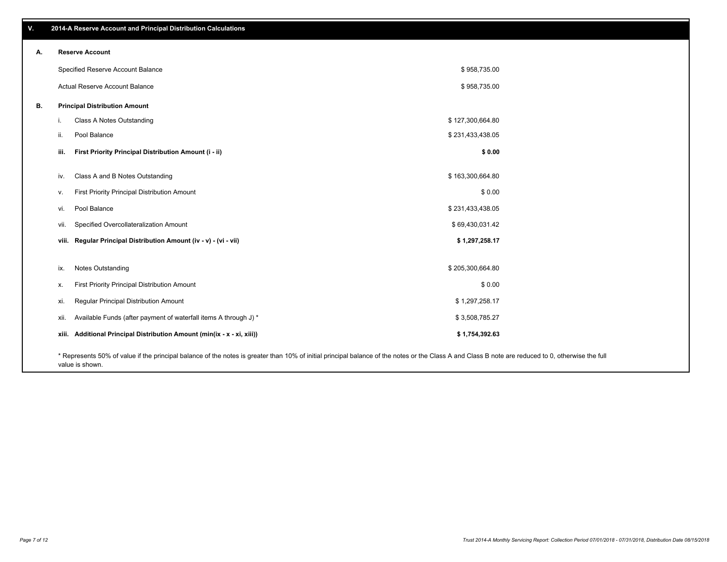**viii. Regular Principal Distribution Amount (iv - v) - (vi - vii) \$ 1,297,258.17** vii. Specified Overcollateralization Amount **by a contract of the Contract of Contract Contract S** 69,430,031.42 vi. Pool Balance \$ 231,433,438.05 v. First Priority Principal Distribution Amount 6 0.00 and the state of the state of the state of the state of the state of the state of the state of the state of the state of the state of the state of the state of the sta iv. Class A and B Notes Outstanding and the state of the state of the state of the state of the state of the state of the state of the state of the state of the state of the state of the state of the state of the state of **iii. First Priority Principal Distribution Amount (i - ii) \$ 0.00** \$ 958,735.00 \$ 958,735.00 Specified Reserve Account Balance Actual Reserve Account Balance **B. Principal Distribution Amount** i. Class A Notes Outstanding the state of the state of the state of the state of the state of the state of the state of the state of the state of the state of the state of the state of the state of the state of the state o ii. Pool Balance  $$231,433,438.05$ ix. Notes Outstanding \$ 205,300,664.80 x. First Priority Principal Distribution Amount \$ 0.00 xi. Regular Principal Distribution Amount \$ 1,297,258.17 xii. Available Funds (after payment of waterfall items A through J) \* **xiii. Additional Principal Distribution Amount (min(ix - x - xi, xiii)) \$ 1,754,392.63** \$ 3,508,785.27

\* Represents 50% of value if the principal balance of the notes is greater than 10% of initial principal balance of the notes or the Class A and Class B note are reduced to 0, otherwise the full value is shown.

**A. Reserve Account**

| 2014-A Reserve Account and Principal Distribution Calculations |  |
|----------------------------------------------------------------|--|
|                                                                |  |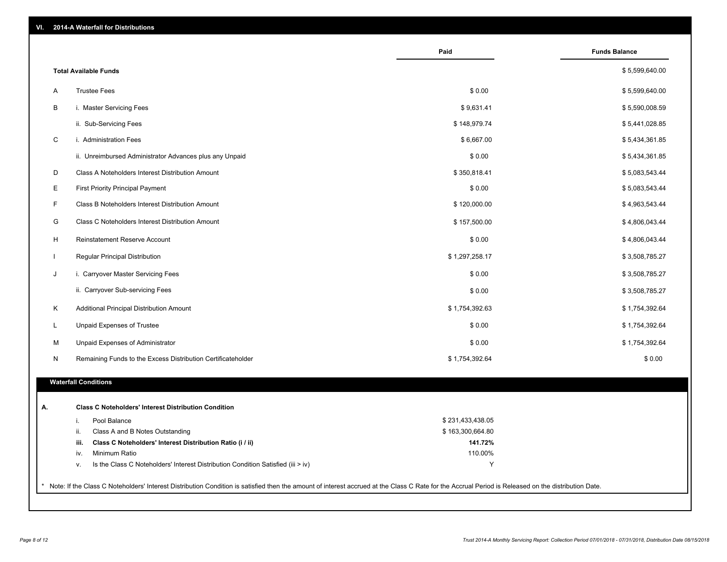| VI. |  |  | 2014-A Waterfall for Distributions |
|-----|--|--|------------------------------------|
|-----|--|--|------------------------------------|

|      |                                                                                  | Paid             | <b>Funds Balance</b> |
|------|----------------------------------------------------------------------------------|------------------|----------------------|
|      | <b>Total Available Funds</b>                                                     |                  | \$5,599,640.00       |
| A    | <b>Trustee Fees</b>                                                              | \$0.00           | \$5,599,640.00       |
| B    | i. Master Servicing Fees                                                         | \$9,631.41       | \$5,590,008.59       |
|      | ii. Sub-Servicing Fees                                                           | \$148,979.74     | \$5,441,028.85       |
| C    | i. Administration Fees                                                           | \$6,667.00       | \$5,434,361.85       |
|      | ii. Unreimbursed Administrator Advances plus any Unpaid                          | \$0.00           | \$5,434,361.85       |
| D    | Class A Noteholders Interest Distribution Amount                                 | \$350,818.41     | \$5,083,543.44       |
| Е    | <b>First Priority Principal Payment</b>                                          | \$0.00           | \$5,083,543.44       |
| F    | Class B Noteholders Interest Distribution Amount                                 | \$120,000.00     | \$4,963,543.44       |
| G    | Class C Noteholders Interest Distribution Amount                                 | \$157,500.00     | \$4,806,043.44       |
| H    | Reinstatement Reserve Account                                                    | \$0.00           | \$4,806,043.44       |
|      | Regular Principal Distribution                                                   | \$1,297,258.17   | \$3,508,785.27       |
| J    | i. Carryover Master Servicing Fees                                               | \$0.00           | \$3,508,785.27       |
|      | ii. Carryover Sub-servicing Fees                                                 | \$0.00           | \$3,508,785.27       |
| Κ    | Additional Principal Distribution Amount                                         | \$1,754,392.63   | \$1,754,392.64       |
| L.   | Unpaid Expenses of Trustee                                                       | \$0.00           | \$1,754,392.64       |
| м    | Unpaid Expenses of Administrator                                                 | \$0.00           | \$1,754,392.64       |
| N    | Remaining Funds to the Excess Distribution Certificateholder                     | \$1,754,392.64   | \$0.00               |
|      |                                                                                  |                  |                      |
|      | <b>Waterfall Conditions</b>                                                      |                  |                      |
|      | <b>Class C Noteholders' Interest Distribution Condition</b>                      |                  |                      |
| i.   | Pool Balance                                                                     | \$231,433,438.05 |                      |
| ii.  | Class A and B Notes Outstanding                                                  | \$163,300,664.80 |                      |
| iii. | Class C Noteholders' Interest Distribution Ratio (i / ii)                        | 141.72%          |                      |
| iv.  | Minimum Ratio                                                                    | 110.00%          |                      |
| v.   | Is the Class C Noteholders' Interest Distribution Condition Satisfied (iii > iv) | Υ                |                      |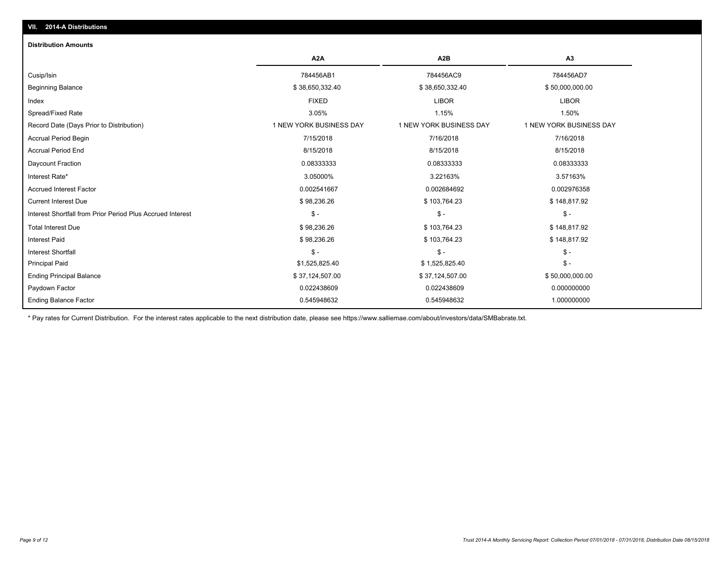# **VII. 2014-A Distributions**

#### **Distribution Amounts**

|                                                            | A2A                     | A <sub>2</sub> B        | A <sub>3</sub>          |
|------------------------------------------------------------|-------------------------|-------------------------|-------------------------|
| Cusip/Isin                                                 | 784456AB1               | 784456AC9               | 784456AD7               |
| <b>Beginning Balance</b>                                   | \$38,650,332.40         | \$38,650,332.40         | \$50,000,000.00         |
| Index                                                      | <b>FIXED</b>            | <b>LIBOR</b>            | <b>LIBOR</b>            |
| Spread/Fixed Rate                                          | 3.05%                   | 1.15%                   | 1.50%                   |
| Record Date (Days Prior to Distribution)                   | 1 NEW YORK BUSINESS DAY | 1 NEW YORK BUSINESS DAY | 1 NEW YORK BUSINESS DAY |
| <b>Accrual Period Begin</b>                                | 7/15/2018               | 7/16/2018               | 7/16/2018               |
| <b>Accrual Period End</b>                                  | 8/15/2018               | 8/15/2018               | 8/15/2018               |
| Daycount Fraction                                          | 0.08333333              | 0.08333333              | 0.08333333              |
| Interest Rate*                                             | 3.05000%                | 3.22163%                | 3.57163%                |
| <b>Accrued Interest Factor</b>                             | 0.002541667             | 0.002684692             | 0.002976358             |
| <b>Current Interest Due</b>                                | \$98,236.26             | \$103,764.23            | \$148,817.92            |
| Interest Shortfall from Prior Period Plus Accrued Interest | $S -$                   | $\mathsf{\$}$ -         | $S -$                   |
| <b>Total Interest Due</b>                                  | \$98,236.26             | \$103,764.23            | \$148,817.92            |
| <b>Interest Paid</b>                                       | \$98,236.26             | \$103,764.23            | \$148,817.92            |
| <b>Interest Shortfall</b>                                  | $\frac{2}{3}$ -         | $\mathsf{\$}$ -         | $S -$                   |
| <b>Principal Paid</b>                                      | \$1,525,825.40          | \$1,525,825.40          | $$ -$                   |
| <b>Ending Principal Balance</b>                            | \$37,124,507.00         | \$37,124,507.00         | \$50,000,000.00         |
| Paydown Factor                                             | 0.022438609             | 0.022438609             | 0.000000000             |
| <b>Ending Balance Factor</b>                               | 0.545948632             | 0.545948632             | 1.000000000             |

\* Pay rates for Current Distribution. For the interest rates applicable to the next distribution date, please see https://www.salliemae.com/about/investors/data/SMBabrate.txt.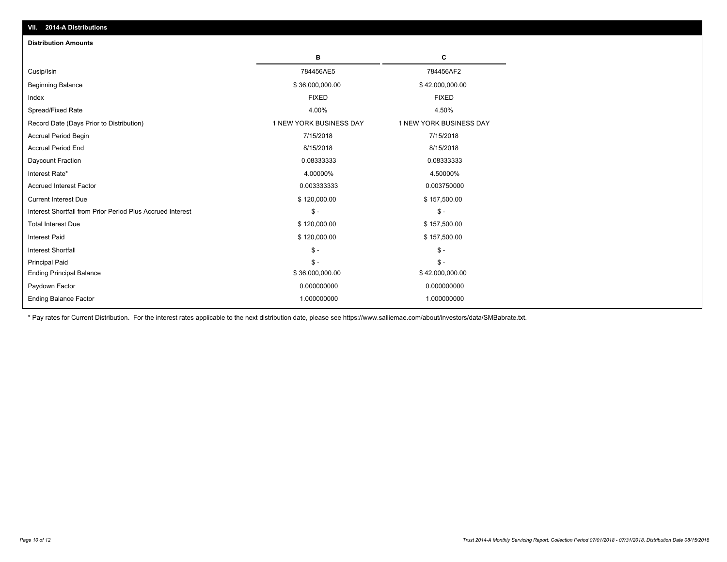| VII. 2014-A Distributions                                  |                         |                         |
|------------------------------------------------------------|-------------------------|-------------------------|
| <b>Distribution Amounts</b>                                |                         |                         |
|                                                            | в                       | C                       |
| Cusip/Isin                                                 | 784456AE5               | 784456AF2               |
| Beginning Balance                                          | \$36,000,000.00         | \$42,000,000.00         |
| Index                                                      | <b>FIXED</b>            | <b>FIXED</b>            |
| Spread/Fixed Rate                                          | 4.00%                   | 4.50%                   |
| Record Date (Days Prior to Distribution)                   | 1 NEW YORK BUSINESS DAY | 1 NEW YORK BUSINESS DAY |
| <b>Accrual Period Begin</b>                                | 7/15/2018               | 7/15/2018               |
| <b>Accrual Period End</b>                                  | 8/15/2018               | 8/15/2018               |
| Daycount Fraction                                          | 0.08333333              | 0.08333333              |
| Interest Rate*                                             | 4.00000%                | 4.50000%                |
| <b>Accrued Interest Factor</b>                             | 0.003333333             | 0.003750000             |
| <b>Current Interest Due</b>                                | \$120,000.00            | \$157,500.00            |
| Interest Shortfall from Prior Period Plus Accrued Interest | $\mathbb{S}$ -          | $\mathsf{\$}$ -         |
| <b>Total Interest Due</b>                                  | \$120,000.00            | \$157,500.00            |
| <b>Interest Paid</b>                                       | \$120,000.00            | \$157,500.00            |
| <b>Interest Shortfall</b>                                  | $\mathcal{S}$ -         | $\mathcal{S}$ -         |
| <b>Principal Paid</b>                                      | $\mathsf{\$}$ -         | $\mathsf{\$}$ -         |
| <b>Ending Principal Balance</b>                            | \$36,000,000.00         | \$42,000,000.00         |
| Paydown Factor                                             | 0.000000000             | 0.000000000             |
| <b>Ending Balance Factor</b>                               | 1.000000000             | 1.000000000             |

\* Pay rates for Current Distribution. For the interest rates applicable to the next distribution date, please see https://www.salliemae.com/about/investors/data/SMBabrate.txt.